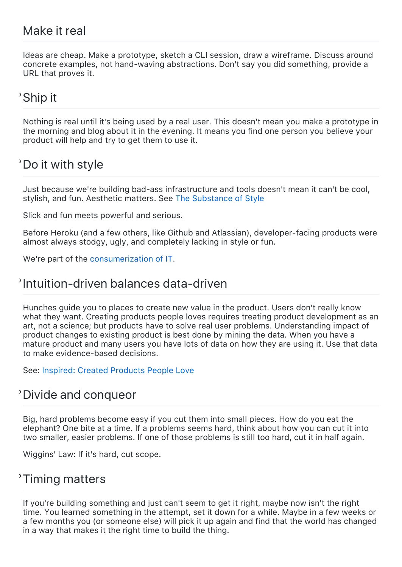#### Make it real

Ideas are cheap. Make a prototype, sketch a CLI session, draw a wireframe. Discuss around concrete examples, not hand‑waving abstractions. Don't say you did something, provide a URL that proves it.

### Ship it

Nothing is real until it's being used by a real user. This doesn't mean you make a prototype in the morning and blog about it in the evening. It means you find one person you believe your product will help and try to get them to use it.

### Do it with style

Just because we're building bad‑ass infrastructure and tools doesn't mean it can't be cool, stylish, and fun. Aesthetic matters. See [The Substance of Style](http://books.google.com/books?id=MqdydvbWZgEC)

Slick and fun meets powerful and serious.

Before Heroku (and a few others, like Github and Atlassian), developer-facing products were almost always stodgy, ugly, and completely lacking in style or fun.

We're part of the [consumerization of IT.](http://www.infoworld.com/t/consumerization-of-it/consumerization-of-it-190132)

#### Intuition‑driven balances data‑driven

Hunches guide you to places to create new value in the product. Users don't really know what they want. Creating products people loves requires treating product development as an art, not a science; but products have to solve real user problems. Understanding impact of product changes to existing product is best done by mining the data. When you have a mature product and many users you have lots of data on how they are using it. Use that data to make evidence‑based decisions.

See: [Inspired: Created Products People Love](http://books.google.com/books?id=nE7NMQAACAA)

#### Divide and conqueor

Big, hard problems become easy if you cut them into small pieces. How do you eat the elephant? One bite at a time. If a problems seems hard, think about how you can cut it into two smaller, easier problems. If one of those problems is still too hard, cut it in half again.

Wiggins' Law: If it's hard, cut scope.

#### <sup>2</sup> Timing matters

If you're building something and just can't seem to get it right, maybe now isn't the right time. You learned something in the attempt, set it down for a while. Maybe in a few weeks or a few months you (or someone else) will pick it up again and find that the world has changed in a way that makes it the right time to build the thing.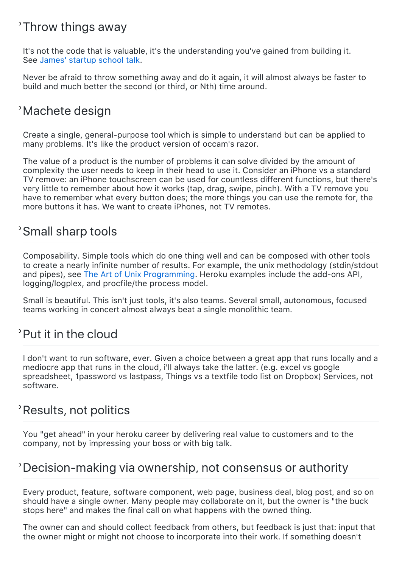# Throw things away

It's not the code that is valuable, it's the understanding you've gained from building it. See [James' startup school talk](http://www.youtube.com/watch?v=3BhDLm9jo5Y).

Never be afraid to throw something away and do it again, it will almost always be faster to build and much better the second (or third, or Nth) time around.

# Machete design

Create a single, general‑purpose tool which is simple to understand but can be applied to many problems. It's like the product version of occam's razor.

The value of a product is the number of problems it can solve divided by the amount of complexity the user needs to keep in their head to use it. Consider an iPhone vs a standard TV remove: an iPhone touchscreen can be used for countless different functions, but there's very little to remember about how it works (tap, drag, swipe, pinch). With a TV remove you have to remember what every button does; the more things you can use the remote for, the more buttons it has. We want to create iPhones, not TV remotes.

# Small sharp tools

Composability. Simple tools which do one thing well and can be composed with other tools to create a nearly infinite number of results. For example, the unix methodology (stdin/stdout and pipes), see [The Art of Unix Programming.](http://books.google.com/books?id=H4q1t-jAcBIC) Heroku examples include the add-ons API, logging/logplex, and procfile/the process model.

Small is beautiful. This isn't just tools, it's also teams. Several small, autonomous, focused teams working in concert almost always beat a single monolithic team.

# Put it in the cloud

I don't want to run software, ever. Given a choice between a great app that runs locally and a mediocre app that runs in the cloud, i'll always take the latter. (e.g. excel vs google spreadsheet, 1password vs lastpass, Things vs a textfile todo list on Dropbox) Services, not software.

# Results, not politics

You "get ahead" in your heroku career by delivering real value to customers and to the company, not by impressing your boss or with big talk.

### Decision‑making via ownership, not consensus or authority

Every product, feature, software component, web page, business deal, blog post, and so on should have a single owner. Many people may collaborate on it, but the owner is "the buck stops here" and makes the final call on what happens with the owned thing.

The owner can and should collect feedback from others, but feedback is just that: input that the owner might or might not choose to incorporate into their work. If something doesn't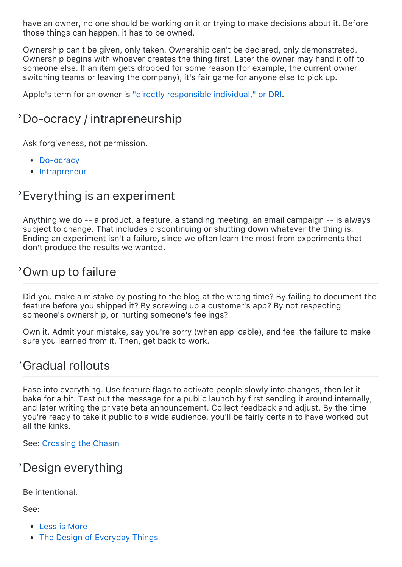have an owner, no one should be working on it or trying to make decisions about it. Before those things can happen, it has to be owned.

Ownership can't be given, only taken. Ownership can't be declared, only demonstrated. Ownership begins with whoever creates the thing first. Later the owner may hand it off to someone else. If an item gets dropped for some reason (for example, the current owner switching teams or leaving the company), it's fair game for anyone else to pick up.

Apple's term for an owner is ["directly responsible individual," or DRI](http://www.quora.com/Apple-Inc-2/How-well-does-Apples-Directly-Responsible-Individual-DRI-model-work-in-practice).

# Do‑ocracy / intrapreneurship

Ask forgiveness, not permission.

- Do-ocracy
- [Intrapreneur](http://adam.heroku.com/past/2008/8/10/intrapreneur/)

### Everything is an experiment

Anything we do ‑‑ a product, a feature, a standing meeting, an email campaign ‑‑ is always subject to change. That includes discontinuing or shutting down whatever the thing is. Ending an experiment isn't a failure, since we often learn the most from experiments that don't produce the results we wanted.

#### Own up to failure

Did you make a mistake by posting to the blog at the wrong time? By failing to document the feature before you shipped it? By screwing up a customer's app? By not respecting someone's ownership, or hurting someone's feelings?

Own it. Admit your mistake, say you're sorry (when applicable), and feel the failure to make sure you learned from it. Then, get back to work.

#### Gradual rollouts

Ease into everything. Use feature flags to activate people slowly into changes, then let it bake for a bit. Test out the message for a public launch by first sending it around internally, and later writing the private beta announcement. Collect feedback and adjust. By the time you're ready to take it public to a wide audience, you'll be fairly certain to have worked out all the kinks.

See: [Crossing the Chasm](http://books.google.com/books?id=yJXHUDSaJgsC)

### Design everything

Be intentional.

See:

- [Less is More](http://books.google.com/books?id=TL1aywAACAAJ)
- [The Design of Everyday Things](http://books.google.com/books?id=w8pM72p_dpoC)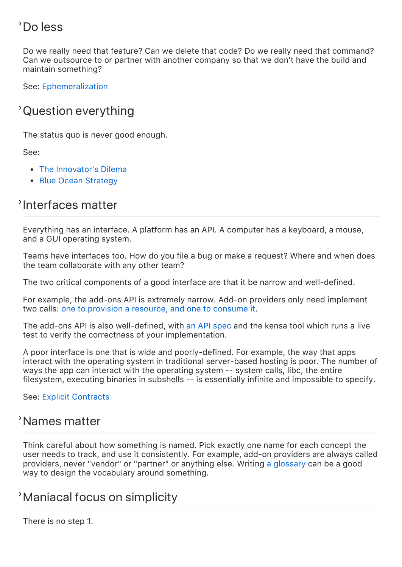# Do less

Do we really need that feature? Can we delete that code? Do we really need that command? Can we outsource to or partner with another company so that we don't have the build and maintain something?

See: [Ephemeralization](http://adam.heroku.com/past/2011/4/7/ephemeralization/)

# Question everything

The status quo is never good enough.

See:

- [The Innovator's Dilema](http://books.google.com/books?id=SIexi_qgq2gC)
- [Blue Ocean Strategy](http://books.google.com/books?id=BmPPAjGaDuQC)

# <sup>2</sup>Interfaces matter

Everything has an interface. A platform has an API. A computer has a keyboard, a mouse, and a GUI operating system.

Teams have interfaces too. How do you file a bug or make a request? Where and when does the team collaborate with any other team?

The two critical components of a good interface are that it be narrow and well-defined.

For example, the add-ons API is extremely narrow. Add-on providers only need implement two calls: [one to provision a resource, and one to consume it](https://addons.heroku.com/provider/resources/technical/how/overview).

The add-ons API is also well-defined, with [an API spec](https://addons.heroku.com/provider/resources/technical/reference/index) and the kensa tool which runs a live test to verify the correctness of your implementation.

A poor interface is one that is wide and poorly‑defined. For example, the way that apps interact with the operating system in traditional server-based hosting is poor. The number of ways the app can interact with the operating system -- system calls, libc, the entire filesystem, executing binaries in subshells ‑‑ is essentially infinite and impossible to specify.

See: [Explicit Contracts](http://blog.heroku.com/archives/2011/6/28/the_new_heroku_4_erosion_resistance_explicit_contracts/)

### Names matter

Think careful about how something is named. Pick exactly one name for each concept the user needs to track, and use it consistently. For example, add‑on providers are always called providers, never "vendor" or "partner" or anything else. Writing [a glossary](https://addons.heroku.com/provider/resources/technical/reference/glossary) can be a good way to design the vocabulary around something.

# Maniacal focus on simplicity

There is no step 1.